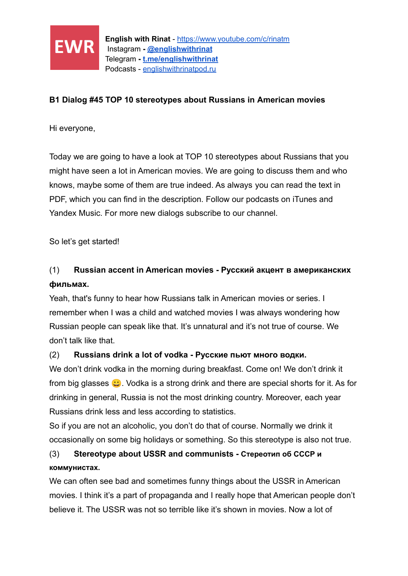

### **B1 Dialog #45 TOP 10 stereotypes about Russians in American movies**

Hi everyone,

Today we are going to have a look at TOP 10 stereotypes about Russians that you might have seen a lot in American movies. We are going to discuss them and who knows, maybe some of them are true indeed. As always you can read the text in PDF, which you can find in the description. Follow our podcasts on iTunes and Yandex Music. For more new dialogs subscribe to our channel.

So let's get started!

# (1) **Russian accent in American movies - Русский акцент в американских фильмах.**

Yeah, that's funny to hear how Russians talk in American movies or series. I remember when I was a child and watched movies I was always wondering how Russian people can speak like that. It's unnatural and it's not true of course. We don't talk like that.

### (2) **Russians drink a lot of vodka - Русские пьют много водки.**

We don't drink vodka in the morning during breakfast. Come on! We don't drink it from big glasses  $\bullet$ . Vodka is a strong drink and there are special shorts for it. As for drinking in general, Russia is not the most drinking country. Moreover, each year Russians drink less and less according to statistics.

So if you are not an alcoholic, you don't do that of course. Normally we drink it occasionally on some big holidays or something. So this stereotype is also not true.

# (3) **Stereotype about USSR and communists - Стереотип об СССР и коммунистах.**

We can often see bad and sometimes funny things about the USSR in American movies. I think it's a part of propaganda and I really hope that American people don't believe it. The USSR was not so terrible like it's shown in movies. Now a lot of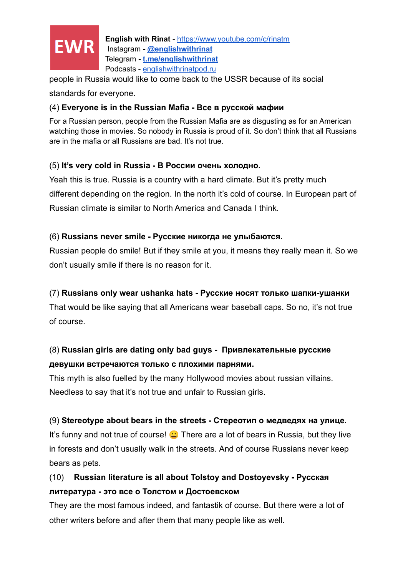

**English with Rinat** - <https://www.youtube.com/c/rinatm> Instagram **- [@englishwithrinat](https://instagram.com/englishwithrinat)** Telegram **- [t.me/englishwithrinat](https://t.me/englishwithrinat)** Podcasts - [englishwithrinatpod.ru](http://englishwithrinatpod.ru/)

people in Russia would like to come back to the USSR because of its social

standards for everyone.

#### (4) **Everyone is in the Russian Mafia - Все в русской мафии**

For a Russian person, people from the Russian Mafia are as disgusting as for an American watching those in movies. So nobody in Russia is proud of it. So don't think that all Russians are in the mafia or all Russians are bad. It's not true.

#### (5) **It's very cold in Russia - В России очень холодно.**

Yeah this is true. Russia is a country with a hard climate. But it's pretty much different depending on the region. In the north it's cold of course. In European part of Russian climate is similar to North America and Canada I think.

#### (6) **Russians never smile - Русские никогда не улыбаются.**

Russian people do smile! But if they smile at you, it means they really mean it. So we don't usually smile if there is no reason for it.

#### (7) **Russians only wear ushanka hats - Русские носят только шапки-ушанки**

That would be like saying that all Americans wear baseball caps. So no, it's not true of course.

## (8) **Russian girls are dating only bad guys - Привлекательные русские девушки встречаются только с плохими парнями.**

This myth is also fuelled by the many Hollywood movies about russian villains. Needless to say that it's not true and unfair to Russian girls.

#### (9) **Stereotype about bears in the streets - Стереотип о медведях на улице.**

It's funny and not true of course!  $\bigcup$  There are a lot of bears in Russia, but they live in forests and don't usually walk in the streets. And of course Russians never keep bears as pets.

## (10) **Russian literature is all about Tolstoy and Dostoyevsky - Русская литература - это все о Толстом и Достоевском**

They are the most famous indeed, and fantastik of course. But there were a lot of other writers before and after them that many people like as well.